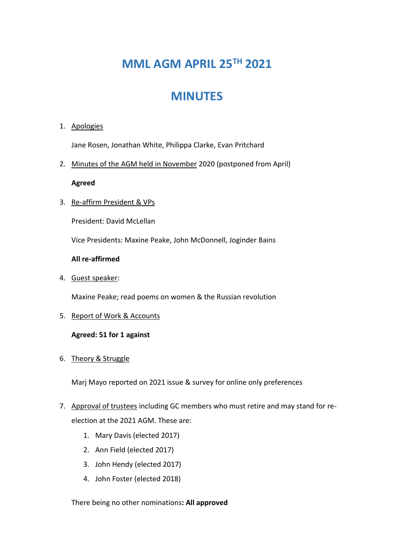# **MML AGM APRIL 25TH 2021**

## **MINUTES**

#### 1. Apologies

Jane Rosen, Jonathan White, Philippa Clarke, Evan Pritchard

2. Minutes of the AGM held in November 2020 (postponed from April)

#### **Agreed**

3. Re-affirm President & VPs

President: David McLellan

Vice Presidents: Maxine Peake, John McDonnell, Joginder Bains

#### **All re-affirmed**

4. Guest speaker:

Maxine Peake; read poems on women & the Russian revolution

5. Report of Work & Accounts

#### **Agreed: 51 for 1 against**

6. Theory & Struggle

Marj Mayo reported on 2021 issue & survey for online only preferences

- 7. Approval of trustees including GC members who must retire and may stand for reelection at the 2021 AGM. These are:
	- 1. Mary Davis (elected 2017)
	- 2. Ann Field (elected 2017)
	- 3. John Hendy (elected 2017)
	- 4. John Foster (elected 2018)

There being no other nominations**: All approved**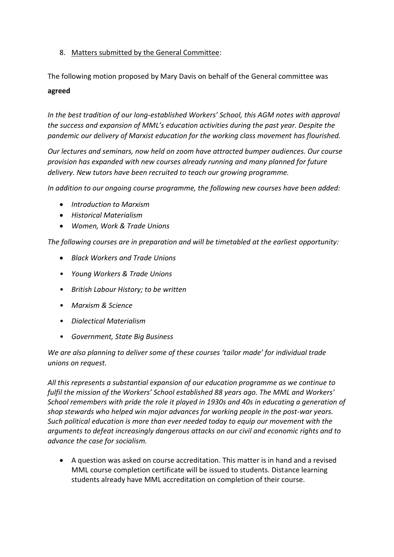### 8. Matters submitted by the General Committee:

The following motion proposed by Mary Davis on behalf of the General committee was

#### **agreed**

*In the best tradition of our long-established Workers' School, this AGM notes with approval the success and expansion of MML's education activities during the past year. Despite the pandemic our delivery of Marxist education for the working class movement has flourished.* 

*Our lectures and seminars, now held on zoom have attracted bumper audiences. Our course provision has expanded with new courses already running and many planned for future delivery. New tutors have been recruited to teach our growing programme.*

*In addition to our ongoing course programme, the following new courses have been added:*

- *Introduction to Marxism*
- *Historical Materialism*
- *Women, Work & Trade Unions*

*The following courses are in preparation and will be timetabled at the earliest opportunity:*

- *Black Workers and Trade Unions*
- *• Young Workers & Trade Unions*
- *• British Labour History; to be written*
- *• Marxism & Science*
- *• Dialectical Materialism*
- *• Government, State Big Business*

*We are also planning to deliver some of these courses 'tailor made' for individual trade unions on request.*

*All this represents a substantial expansion of our education programme as we continue to fulfil the mission of the Workers' School established 88 years ago. The MML and Workers' School remembers with pride the role it played in 1930s and 40s in educating a generation of shop stewards who helped win major advances for working people in the post-war years. Such political education is more than ever needed today to equip our movement with the arguments to defeat increasingly dangerous attacks on our civil and economic rights and to advance the case for socialism.*

• A question was asked on course accreditation. This matter is in hand and a revised MML course completion certificate will be issued to students. Distance learning students already have MML accreditation on completion of their course.